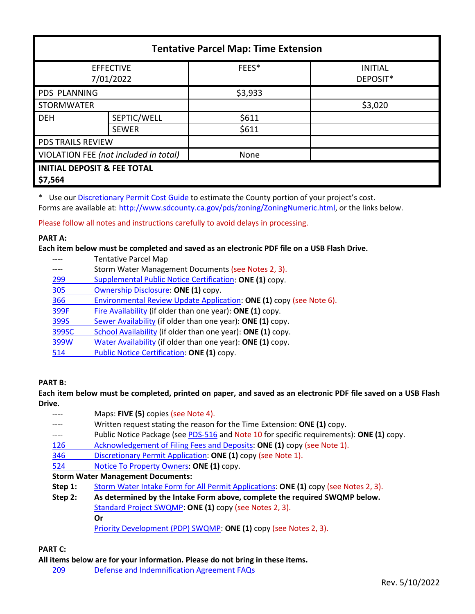| <b>Tentative Parcel Map: Time Extension</b>       |              |         |                            |  |  |
|---------------------------------------------------|--------------|---------|----------------------------|--|--|
| <b>EFFECTIVE</b><br>7/01/2022                     |              | FEES*   | <b>INITIAL</b><br>DEPOSIT* |  |  |
| <b>PDS PLANNING</b>                               |              | \$3,933 |                            |  |  |
| <b>STORMWATER</b>                                 |              |         | \$3,020                    |  |  |
| <b>DEH</b>                                        | SEPTIC/WELL  | \$611   |                            |  |  |
|                                                   | <b>SEWER</b> | \$611   |                            |  |  |
| PDS TRAILS REVIEW                                 |              |         |                            |  |  |
| VIOLATION FEE (not included in total)             |              | None    |                            |  |  |
| <b>INITIAL DEPOSIT &amp; FEE TOTAL</b><br>\$7,564 |              |         |                            |  |  |

\* Use our [Discretionary Permit Cost Guide](http://www.sandiegocounty.gov/content/dam/sdc/pds/docs/Discretionary_Permit_Cost_Guide.xlsx) to estimate the County portion of your project's cost.

Forms are available at: [http://www.sdcounty.ca.gov/pds/zoning/ZoningNumeric.html,](http://www.sdcounty.ca.gov/pds/zoning/ZoningNumeric.html) or the links below.

Please follow all notes and instructions carefully to avoid delays in processing.

## **PART A:**

**Each item below must be completed and saved as an electronic PDF file on a USB Flash Drive.**

---- Tentative Parcel Map ---- Storm Water Management Documents (see Notes 2, 3). 299 [Supplemental Public Notice Certification:](http://www.sdcounty.ca.gov/pds/zoning/formfields/PDS-PLN-299.pdf) **ONE (1)** copy. [305 Ownership Disclosure:](http://www.sdcounty.ca.gov/pds/zoning/formfields/PDS-PLN-305.pdf) **ONE (1)** copy. 366 [Environmental Review Update Application:](http://www.sdcounty.ca.gov/pds/zoning/formfields/PDS-PLN-366.pdf) **ONE (1)** copy (see Note 6). [399F Fire Availability](http://www.sdcounty.ca.gov/pds/zoning/formfields/PDS-PLN-399F.pdf) (if older than one year): **ONE (1)** copy. 399S [Sewer Availability](http://www.sdcounty.ca.gov/pds/zoning/formfields/PDS-PLN-399S.pdf) (if older than one year): **ONE (1)** copy. [399SC School Availability](http://www.sdcounty.ca.gov/pds/zoning/formfields/PDS-PLN-399SC.pdf) (if older than one year): **ONE (1)** copy. [399W Water Availability](http://www.sdcounty.ca.gov/pds/zoning/formfields/PDS-PLN-399W.pdf) (if older than one year): **ONE (1)** copy. 514 [Public Notice Certification:](http://www.sdcounty.ca.gov/pds/zoning/formfields/PDS-PLN-514.pdf) **ONE (1)** copy.

# **PART B:**

**Each item below must be completed, printed on paper, and saved as an electronic PDF file saved on a USB Flash Drive.**

|         | Maps: FIVE (5) copies (see Note 4).                                                      |  |  |  |
|---------|------------------------------------------------------------------------------------------|--|--|--|
|         | Written request stating the reason for the Time Extension: ONE (1) copy.                 |  |  |  |
| $--- -$ | Public Notice Package (see PDS-516 and Note 10 for specific requirements): ONE (1) copy. |  |  |  |
| 126     | Acknowledgement of Filing Fees and Deposits: ONE (1) copy (see Note 1).                  |  |  |  |
| 346     | Discretionary Permit Application: ONE (1) copy (see Note 1).                             |  |  |  |
| 524     | Notice To Property Owners: ONE (1) copy.                                                 |  |  |  |
|         | <b>Storm Water Management Documents:</b>                                                 |  |  |  |
| Step 1: | Storm Water Intake Form for All Permit Applications: ONE (1) copy (see Notes 2, 3).      |  |  |  |
| Step 2: | As determined by the Intake Form above, complete the required SWQMP below.               |  |  |  |
|         | Standard Project SWQMP: ONE (1) copy (see Notes 2, 3).                                   |  |  |  |
|         | Or                                                                                       |  |  |  |
|         | Priority Development (PDP) SWQMP: ONE (1) copy (see Notes 2, 3).                         |  |  |  |

# **PART C:**

**All items below are for your information. Please do not bring in these items.**

209 [Defense and Indemnification Agreement FAQs](http://www.sdcounty.ca.gov/pds/zoning/formfields/PDS-PLN-209.pdf)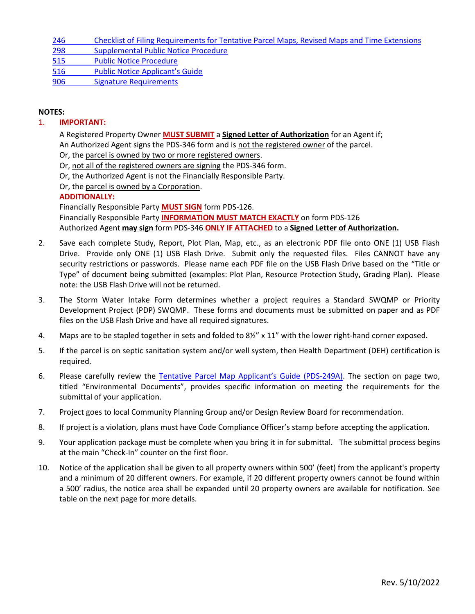| 246<br>Checklist of Filing Requirements for Tentative Parcel Maps, Revised Maps and Time Extensions |  |
|-----------------------------------------------------------------------------------------------------|--|
|-----------------------------------------------------------------------------------------------------|--|

[298 Supplemental Public Notice Procedure](http://www.sdcounty.ca.gov/pds/zoning/formfields/PDS-PLN-298.pdf)

[515 Public Notice Procedure](http://www.sdcounty.ca.gov/pds/zoning/formfields/PDS-PLN-515.pdf) 

[516 Public Notice Applicant's Guide](http://www.sdcounty.ca.gov/pds/zoning/formfields/PDS-PLN-516.pdf) 

[906 Signature Requirements](http://www.sdcounty.ca.gov/pds/zoning/formfields/PDS-PLN-906.pdf) 

### **NOTES:**

### 1. **IMPORTANT:**

A Registered Property Owner **MUST SUBMIT** a **Signed Letter of Authorization** for an Agent if; An Authorized Agent signs the PDS-346 form and is not the registered owner of the parcel. Or, the parcel is owned by two or more registered owners.

Or, not all of the registered owners are signing the PDS-346 form.

Or, the Authorized Agent is not the Financially Responsible Party.

Or, the parcel is owned by a Corporation.

## **ADDITIONALLY:**

Financially Responsible Party **MUST SIGN** form PDS-126. Financially Responsible Party **INFORMATION MUST MATCH EXACTLY** on form PDS-126 Authorized Agent **may sign** form PDS-346 **ONLY IF ATTACHED** to a **Signed Letter of Authorization.** 

- 2. Save each complete Study, Report, Plot Plan, Map, etc., as an electronic PDF file onto ONE (1) USB Flash Drive. Provide only ONE (1) USB Flash Drive. Submit only the requested files. Files CANNOT have any security restrictions or passwords. Please name each PDF file on the USB Flash Drive based on the "Title or Type" of document being submitted (examples: Plot Plan, Resource Protection Study, Grading Plan). Please note: the USB Flash Drive will not be returned.
- 3. The Storm Water Intake Form determines whether a project requires a Standard SWQMP or Priority Development Project (PDP) SWQMP. These forms and documents must be submitted on paper and as PDF files on the USB Flash Drive and have all required signatures.
- 4. Maps are to be stapled together in sets and folded to 8½" x 11" with the lower right-hand corner exposed.
- 5. If the parcel is on septic sanitation system and/or well system, then Health Department (DEH) certification is required.
- 6. Please carefully review the [Tentative Parcel Map Applicant's Guide \(PDS-249A\).](http://www.sdcounty.ca.gov/pds/zoning/formfields/PDS-PLN-249A.pdf) The section on page two, titled "Environmental Documents", provides specific information on meeting the requirements for the submittal of your application.
- 7. Project goes to local Community Planning Group and/or Design Review Board for recommendation.
- 8. If project is a violation, plans must have Code Compliance Officer's stamp before accepting the application.
- 9. Your application package must be complete when you bring it in for submittal. The submittal process begins at the main "Check-In" counter on the first floor.
- 10. Notice of the application shall be given to all property owners within 500' (feet) from the applicant's property and a minimum of 20 different owners. For example, if 20 different property owners cannot be found within a 500' radius, the notice area shall be expanded until 20 property owners are available for notification. See table on the next page for more details.